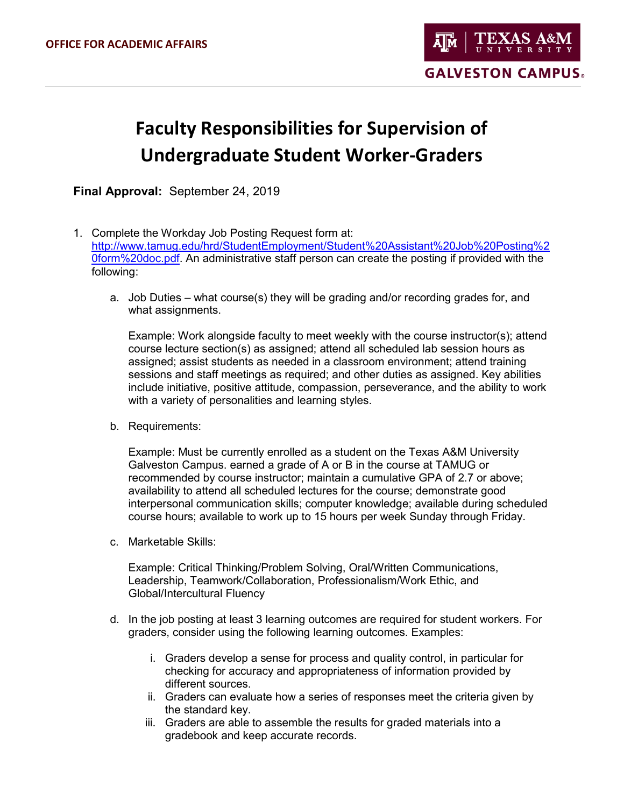## **Faculty Responsibilities for Supervision of Undergraduate Student Worker-Graders**

**Final Approval:** September 24, 2019

- 1. Complete the Workday Job Posting Request form at: [http://www.tamug.edu/hrd/StudentEmployment/Student%20Assistant%20Job%20Posting%2](http://www.tamug.edu/hrd/StudentEmployment/Student%20Assistant%20Job%20Posting%20form%20doc.pdf) [0form%20doc.pdf.](http://www.tamug.edu/hrd/StudentEmployment/Student%20Assistant%20Job%20Posting%20form%20doc.pdf) An administrative staff person can create the posting if provided with the following:
	- a. Job Duties what course(s) they will be grading and/or recording grades for, and what assignments.

Example: Work alongside faculty to meet weekly with the course instructor(s); attend course lecture section(s) as assigned; attend all scheduled lab session hours as assigned; assist students as needed in a classroom environment; attend training sessions and staff meetings as required; and other duties as assigned. Key abilities include initiative, positive attitude, compassion, perseverance, and the ability to work with a variety of personalities and learning styles.

b. Requirements:

Example: Must be currently enrolled as a student on the Texas A&M University Galveston Campus. earned a grade of A or B in the course at TAMUG or recommended by course instructor; maintain a cumulative GPA of 2.7 or above; availability to attend all scheduled lectures for the course; demonstrate good interpersonal communication skills; computer knowledge; available during scheduled course hours; available to work up to 15 hours per week Sunday through Friday.

c. Marketable Skills:

Example: Critical Thinking/Problem Solving, Oral/Written Communications, Leadership, Teamwork/Collaboration, Professionalism/Work Ethic, and Global/Intercultural Fluency

- d. In the job posting at least 3 learning outcomes are required for student workers. For graders, consider using the following learning outcomes. Examples:
	- i. Graders develop a sense for process and quality control, in particular for checking for accuracy and appropriateness of information provided by different sources.
	- ii. Graders can evaluate how a series of responses meet the criteria given by the standard key.
	- iii. Graders are able to assemble the results for graded materials into a gradebook and keep accurate records.